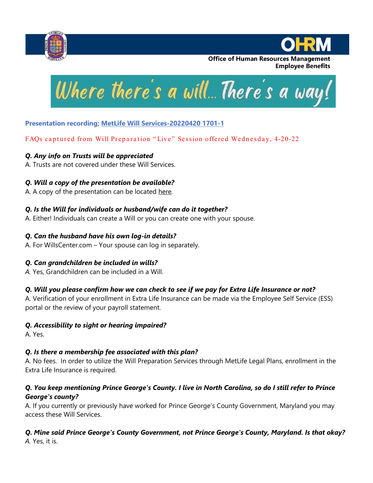



**Office of Human Resources Management Employee Benefits** 



# **Presentation recording; [MetLife Will Services-20220420 1701-1](https://onemetlife.webex.com/onemetlife/lsr.php?RCID=41915a20f5aad465b50b9bf5b95fc4ef)**

# FAQs captured from Will Preparation "Live" Session offered Wednesday, 4-20-22

#### *Q. Any info on Trusts will be appreciated*

A. Trusts are not covered under these Will Services.

# *Q. Will a copy of the presentation be available?*

A. A copy of the presentation can be located [here.](https://www.princegeorgescountymd.gov/DocumentCenter/View/41175/Will-Preparation-Service-Presentation4-20-22)

# *Q. Is the Will for individuals or husband/wife can do it together?*

A. Either! Individuals can create a Will or you can create one with your spouse.

#### *Q. Can the husband have his own log-in details?*

A. For WillsCenter.com – Your spouse can log in separately.

# *Q. Can grandchildren be included in wills?*

*A.* Yes, Grandchildren can be included in a Will.

# *Q. Will you please confirm how we can check to see if we pay for Extra Life Insurance or not?*

A. Verification of your enrollment in Extra Life Insurance can be made via the Employee Self Service (ESS) portal or the review of your payroll statement.

# *Q. Accessibility to sight or hearing impaired?*

A. Yes.

# *Q. Is there a membership fee associated with this plan?*

A. No fees. In order to utilize the Will Preparation Services through MetLife Legal Plans, enrollment in the Extra Life Insurance is required.

#### *Q. You keep mentioning Prince George's County. I live in North Carolina, so do I still refer to Prince George's county?*

A. If you currently or previously have worked for Prince George's County Government, Maryland you may access these Will Services.

#### *Q. Mine said Prince George's County Government, not Prince George's County, Maryland. Is that okay? A.* Yes, it is.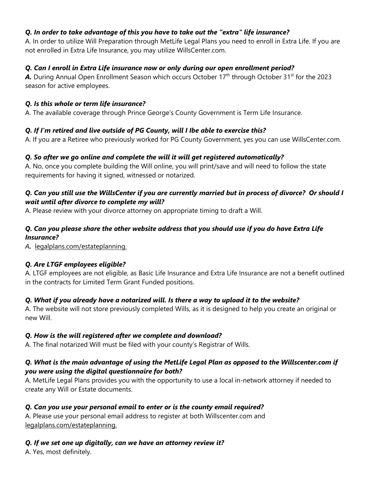#### *Q. In order to take advantage of this you have to take out the "extra" life insurance?*

A. In order to utilize Will Preparation through MetLife Legal Plans you need to enroll in Extra Life. If you are not enrolled in Extra Life Insurance, you may utilize WillsCenter.com.

#### *Q. Can I enroll in Extra Life insurance now or only during our open enrollment period?*

A. During Annual Open Enrollment Season which occurs October 17<sup>th</sup> through October 31<sup>st</sup> for the 2023 season for active employees.

#### *Q. Is this whole or term life insurance?*

A. The available coverage through Prince George's County Government is Term Life Insurance.

# *Q. If I'm retired and live outside of PG County, will I Ibe able to exercise this?*

A. If you are a Retiree who previously worked for PG County Government, yes you can use WillsCenter.com.

# *Q. So after we go online and complete the will it will get registered automatically?*

A. No, once you complete building the Will online, you will print/save and will need to follow the state requirements for having it signed, witnessed or notarized.

#### *Q. Can you still use the WillsCenter if you are currently married but in process of divorce? Or should I wait until after divorce to complete my will?*

A. Please review with your divorce attorney on appropriate timing to draft a Will.

#### *Q. Can you please share the other website address that you should use if you do have Extra Life Insurance?*

*A.* legalplans.com/estateplanning.

# *Q. Are LTGF employees eligible?*

A. LTGF employees are not eligible, as Basic Life Insurance and Extra Life Insurance are not a benefit outlined in the contracts for Limited Term Grant Funded positions.

# *Q. What if you already have a notarized will. Is there a way to upload it to the website?*

A. The website will not store previously completed Wills, as it is designed to help you create an original or new Will.

#### *Q. How is the will registered after we complete and download?*

A. The final notarized Will must be filed with your county's Registrar of Wills.

#### *Q. What is the main advantage of using the MetLife Legal Plan as opposed to the Willscenter.com if you were using the digital questionnaire for both?*

A. MetLife Legal Plans provides you with the opportunity to use a local in-network attorney if needed to create any Will or Estate documents.

# *Q. Can you use your personal email to enter or is the county email required?*

A. Please use your personal email address to register at both Willscenter.com and legalplans.com/estateplanning.

# *Q. If we set one up digitally, can we have an attorney review it?*

A. Yes, most definitely.